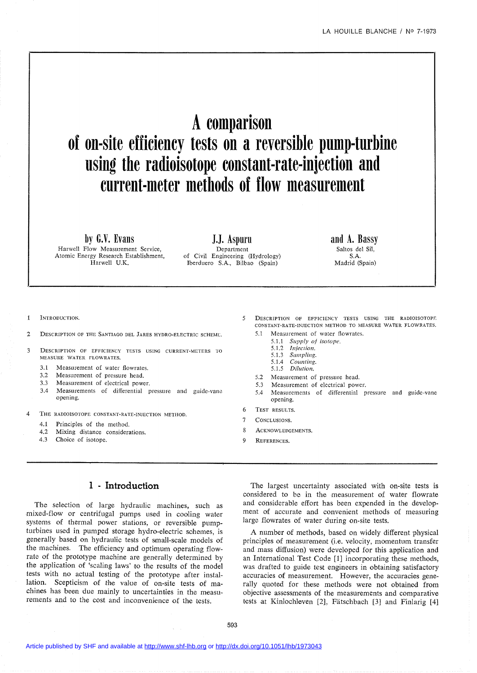# **Acomparison of on-site efficiency tests on areversible pump-turbine using the radioisotope constant-rate-injection and current-meter methods of flow measurement**

**by G.V. Evans**

Harwell Flow Measurement Service, Atomic Energy Research Establishment, Harwell D.K.

**J.1. Aspuru** Department of Civil Engineering (Hydrology) Iberduero S.A., Bilbao (Spain)

**and A. Bassy** Saltos deI Sil, S.A. Madrid (Spain)

INTRODUCTION.

- 2 DESCRIPTION OF THE SANTIAGO DEL JARES HYDRO-ELECTRIC SCHEME.
- 3 DESCRIPTION OF EFFIClENCY TESTS USING CURRENT-METERS TO MEASURE WATER FLOWRATES.
	- 3.1 Measurement of water flowrates.<br>3.2 Measurement of pressure head
	- Measurement of pressure head.
	- 3.3 Measurement of electrical power.
	- 3.4 Measurements of differential pressure and guide-vane opening.
- 4 THE RADIOISOTOPE CONSTANT-RATE-INJECTION METIIOD.
	- 4.1 Principles of the method.
	- 4.2 Mixing distance considerations.
	- 4.3 Choice of isotope.
- 5 DESCRIPTION OF EFFlCIENCY TESTS USING THE RADIOISOTOPE CONSTANT-RATE-INJECTION METHOD TO MEASURE WATER FLOWRATES. 5.1 Measurement of water flowrates.
	- *5.1.1 Supply of isotope.*
		- *5.1.2 Injection.*
		- *5.1.3 Sampling.*
	- 5.1.4 *Counting.*
	- *5.1.5 Dilution.*
	- 5.2 Measurement of pressure head.
	- 5.3 Measurement of electrical power.
	- 5.4 Measurements of differential pressure and guide-vane opening.
- 6 TEST RESULTS.
- 7 CONCLUSIONS.
- 8 ACKNOWLEDGEMENTS.
- 9 REFERENCES.

## 1 **- Introduction**

The selection of large hydraulic machines, such as mixed-flow or centrifugaI pumps used in cooling water systems of thermal power stations, or reversible pumpturbines used in pumped storage hydro-electric sohemes, is generally based on hydraulic tests of small-scale models of the machines. The efficiency and optimum operating flowrate of the prototype machine are generally determined by the application of 'scaling laws' to the results of the model tests with no actual testing of the prototype after installation. Scepticism of the value of on-site tests of machines has been due mainly to uncertainties in the measurements and to the cost and inconvenience of the tests.

The largest uncertainty associated with on-site tests is considered to be in the measurement of water flowrate and considerable effort has been expended in the development of accurate and convenient methods of measuring large flowrates of water during on-site tests.

A number of methods, based on widely different physical principles of measurement (i.e. velocity, momentum transfer and mass diffusion) were developed for this application and an International Test Code [l] incorporating these methods, was drafted to guide test engineers in obtaining satisfactory accuracies of measurement. However, the accuracies generally quoted for these methods were not obtained from objective assessments of the measurements and comparative tests at Kinlochleven [2], Fätschbach [3] and Finlarig [4]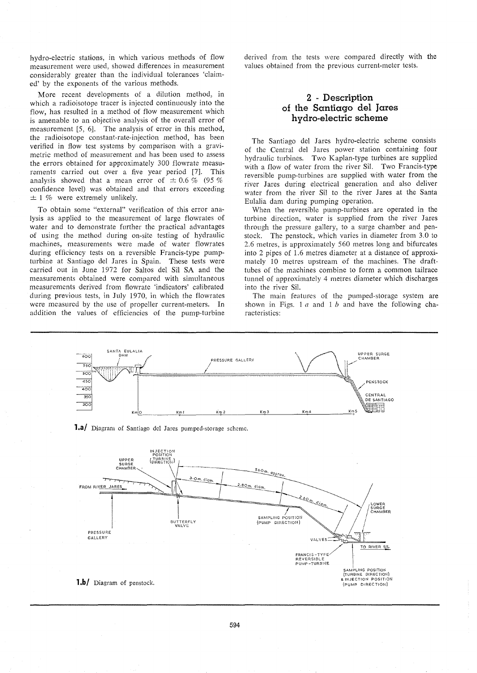hydro-electric stations, in which various methods of flow measurement were used, showed differences in measurement considerably greater than the individual tolerances 'claimed' by the exponents of the various methods.

More recent developments of a dilution method, in which a radioisotope tracer is injected continuously into the flow, has resulted in a method of flow measurement which is amenable to an objective analysis of the overall error of measurement [5, 6]. The analysis of error in this method, the radioisotope constant-rate-injection method, has been verified in flow test systems by comparison with a gravimetric method of measurement and has been used to assess the errors obtained for approximately 300 flowrate measurements carried out over a five year period [7]. This analysis showed that a mean error of  $\pm 0.6 \%$  (95 % confidence level) was obtained and that errors exceeding  $\pm$  1 % were extremely unlikely.

To obtain some "external" verification of this error analysis as applied to the measurement of large flowrates of water and to demonstrate further the practical advantages of using the method during on-site testing of hydraulic machines, measurements were made of water flowrates during efficiency tests on a reversible Francis-type pumpturbine at Santiago deI Jares in Spain. These tests were carried out in June 1972 for Saltos deI Sil SA and the measurements obtained were compared with simultaneous measurements derived from flowrate 'indicators' calibrated during previous tests, in July 1970, in which the flowrates were measured by the use of propeller current-meters. In addition the values of efficiencies of the pump-turbine derived from the tests were compared directly with the values obtained from the previous current-meter tests.

## 2 **- Description of the Santiago deI Jares hydro-electric** scheme

The Santiago deI Jares hydro-electric scheme consists of the Central dei Jares power station containing four hydraulic turbines. Two Kaplan-type turbines are supplied with a flow of water from the river Sil. Two Francis-type reversible pump-turbines are supplied with water from the river Jares during electrical generation and also deliver water from the river Sil to the river Jares at the Santa Eülalia dam during pumping operation.

When the reversible pump-turbines are operated in the turbine direction, water is supplied from the river Jares through the pressure gallery, to a surge chamber and penstock. The penstock, which varies in diameter from 3.0 to 2.6 metres, is appraximately 560 metres long and bifurcates into 2 pipes of 1.6 metres diameter at a distance of appraximately 10 metres upstream of the machines. The drafttubes of the machines combine to form a common tailrace tunnel of approximately 4 metres diameter which discharges into the river Sil.

The main features of the pumped-storage system are shown in Figs. 1 *a* and 1 *b* and have the following characteristics:

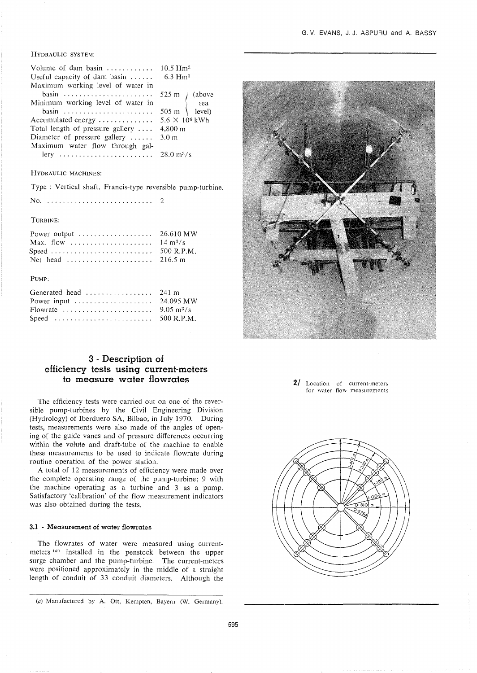#### HYDRAULIC SYSTEM:

| Volume of dam basin $\ldots$                                   | $10.5 \text{ Hm}^3$                                                        |  |
|----------------------------------------------------------------|----------------------------------------------------------------------------|--|
| Useful capacity of dam basin $\dots \dots$ 6.3 Hm <sup>3</sup> |                                                                            |  |
| Maximum working level of water in                              |                                                                            |  |
| basin                                                          |                                                                            |  |
| Minimum working level of water in                              | 525 m<br>$\begin{cases}\n\text{above} \\ \text{sea}\n\end{cases}$<br>505 m |  |
| basin                                                          |                                                                            |  |
| Accumulated energy $\dots \dots \dots \dots$                   | $5.6 \times 10^6$ kWh                                                      |  |
| Total length of pressure gallery                               | 4,800 m                                                                    |  |
| Diameter of pressure gallery                                   | 3.0 <sub>m</sub>                                                           |  |
| Maximum water flow through gal-                                |                                                                            |  |
| lery  28.0 m <sup>3</sup> /s                                   |                                                                            |  |

#### HYDRAULIC MACHINES:

Type: Vertical shaft, Francis-type reversible pump-turbine.

No 2

TURBINE:

| Max. flow $14 \text{ m}^3/\text{s}$                                 |  |
|---------------------------------------------------------------------|--|
|                                                                     |  |
| Net head $\ldots \ldots \ldots \ldots \ldots \ldots \ldots$ 216.5 m |  |

#### PUMP:

| Generated head $\dots\dots\dots\dots\dots$ 241 m                                   |  |
|------------------------------------------------------------------------------------|--|
|                                                                                    |  |
| Flowrate $\ldots \ldots \ldots \ldots \ldots \ldots \ldots$ 9.05 m <sup>3</sup> /s |  |
| Speed $\ldots \ldots \ldots \ldots \ldots \ldots \ldots \ldots$ 500 R.P.M.         |  |

## 3 **- Description of efficiency tests using current-meters to measure water flowrates**

The efficiency tests were carried out on one of the reversible pump-turbines by the Civil Engineering Division (Hydrology) of Iberduero SA, Bilbao, in July 1970. During tests, measurements were also made of the angles of opening of the guide vanes and of pressure differences occurring within the volute and draft-tube of the machine to enable these measurements to be used to indicate flowrate during routine operation of the power station.

A total of 12 measurements of efficiency were made over the complete operating range of the pump-turbine; 9 with the machine operating as a turbine and 3 as a pump. Satisfactory 'calibration' of the flow measurement indicators was also obtained during the tests.

#### **3.1 - Measurement of water flowrates**

The flowrates of water were measured using currentmeters (a) installed in the penstock between the upper surge chamber and the pump-turbine. The current-meters were positioned approximately in the middle of a straight length of conduit of 33 conduit diameters. Although the



**2/** Location of current-metcrs for water flow measurements



<sup>(</sup>a) Manufactured by A. Ott, Kempten, Bayern (W. Germany).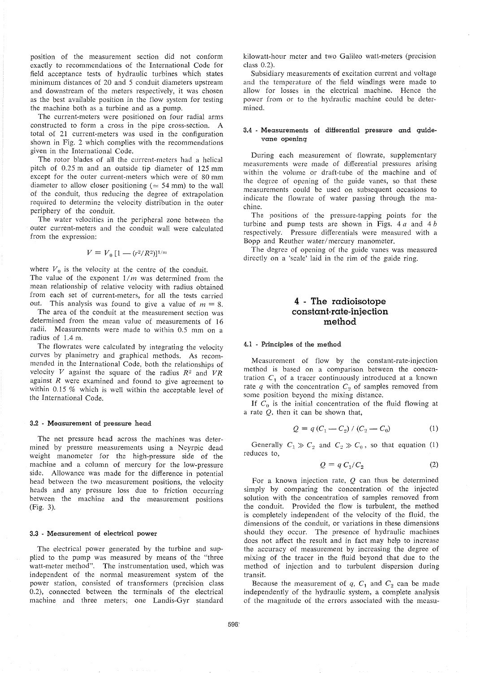position of the measurement section did not conform exactly to recommendations of the International Code for field acceptance tests of hydraulic turbines which states minimum distances of 20 and 5 conduit diameters upstream and downstream of the meters respectively, it was chosen as the best available position in the flow system for testing the machine both as a turbine and as a pump.

The current-meters were positioned on four radial arms constructed to form a cross in the pipe cross-section. A total of 21 current-meters was used in the configuration shown in Fig. 2 which complies with the recommendations given in the International Code.

The rotor bliades of aH the currcnt-meters had a helical pitch of 0.25 m and an outside tip diameter of 125 mm except for the outer current-meters which were of 80 mm diameter to allow closer positioning ( $\simeq$  54 mm) to the wall of the conduit, thus reducing the degree of extrapolation required to determine the velocity distribution in the outer periphery of the conduit.

The water velocities in the peripheral zone between the outer current-meters and the conduit wall were calculated from the expression:

$$
V = V_0 \left[1 - \frac{r^2}{R^2}\right]^{1/m}
$$

where  $V_0$  is the velocity at the centre of the conduit. The value of the exponent 1/*m* was determined from the mean relationship of relative velocity with radius obtained from each set of current-meters, for all the tests carried out. This analysis was found to give a value of  $m = 8$ .

The area of the conduit at the measurement section was determined from the mean value of measurements of 16 radii. Measurements were made to within 0.5 mm on a radius of 1.4 m.

The flowrates were calculated by integrating the velocity curves by planimetry and graphical methods. As recommended in the International Code, both the relationships of velocity *V* against the square of the radius  $R^2$  and  $VR$ against *R* were examined and found to give agreement to within 0.15 % which is weIl within the acceptable level of the International Code.

#### 3.2 - Measurement of pressure head

The net pressure head across the machines was determined by pressure measurements using a Neyrpic dead weight manometer for the high-pressure side of the machine and a column of mercury for the low-pressure side. Allowance was made for the difference in potential head between the two measurement positions, the velocity heads and any pressure loss due to friction occurring between the maohine and the measurement positions (Fig. 3).

#### 3.3 - Measurement of e1ectrica1 power

The electrical power generated by the turbine and supplied to the pump was measured by means of the "three watt-meter method". The instrumentation used, which was independent of the normal measurement system of the power station, consisted of transformers (precision class 0.2), connected between the terminals of the electrical machine and three meters; one Landis-Gyr standard kilowatt-hour meter and two GaIileo watt-meters (precision class 0.2).

Subsidiary measurements of excitation current and voltage and the temperature of the field windings were made to allow for losses in the electrical machine. Hence the power from or to the hydraulic machine could be determined.

#### 3.4 - Measurements of differential pressure and guidevane opening

During each measurement of flowrate, supplementary measurements were made of differential pressures arising within the volume or draft-tube of the machine and of the degree of opening of the guide vanes, so that these measurements could be used on subsequent ocoasions to indicate the flowrate of water passing through the machine.

The positions of the pressure-tapping points for the turbine and pump tests are shown in Figs. 4 *a* and 4 *b* respectively. Pressure differentials were measured with a Bopp and Reuther water/mercury manometer.

The degree of opening of the guide vanes was measured directly on a 'scale' laid in the rim of the guide ring.

## 4 - **The radioisotope constant-rate-injection method**

#### 4.1 - Principles of the method

Measurement of flow by the constant-rate-injection method is based on a comparison between the concentration  $C_1$  of a tracer continuously introduced at a known rate  $q$  with the concentration  $C_2$  of samples removed from some position beyond the mixing distance.

If  $C_0$  is the initial concentration of the fluid flowing at a rate  $Q$ , then it can be shown that,

$$
Q = q(C_1 - C_2) / (C_2 - C_0)
$$
 (1)

Generally  $C_1 \gg C_2$  and  $C_2 \gg C_0$ , so that equation (1) reduces to,

$$
Q = q C_1 / C_2 \tag{2}
$$

For a known injection rate,  $Q$  can thus be determined simply by comparing the concentration of the injected solution with the concentration of samples removed from the conduit. Provided the flow is turbulent, the method is completely independent of the velocity of the fluid, the dimensions of the conduit, or variations in these dimensions should they occur. The presence of hydraulic machines does not affect the result and in fact may help to increase the accuraoy of measurement by increasing the degree of mixing of the tracer in the fluid beyond that due to the method of injection and to turbulent dispersion during transit.

Because the measurement of  $q$ ,  $C_1$  and  $C_2$  can be made independently of the hydraulic system, a complete analysis of the magnitude of the errors associated with the measu-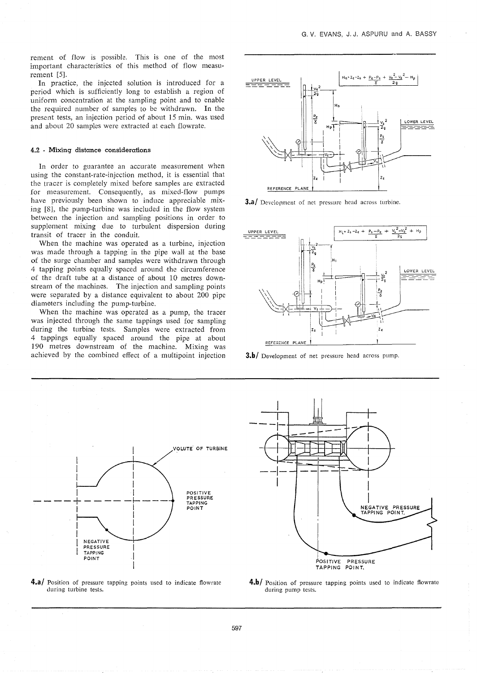rement of flow is possible. This is one of the most important characteristics of this method of flow measurement [5].

In practice, the injected solution is introduced for a period which is suffioiently long to establish a region of uniform concentration at the sampling point and to enable the required number of samples to be withdrawn. In the present tests, an injection period of about 15 min. was used and about 20 samples were extracted at each flowrate.

#### 4.2 - Mixing distance considerations

In order to guarantee an accurate measurement when using the constant-rate-injection method, it is essential that the tracer is completely mixed before samples are extracted for measurement. Consequently, as mixed-flow pumps have previously been shown to induce appreciable mixing [8], the pump-turbine was included in the flow system between the injection and sampling positions in order to supplement mixing due to turbulent dispersion during transit of tracer in the oonduit.

When the machine was operated as a turbine, injection was made through a tapping in the pipe walI at the base of the surge chamber and samples were withdrawn through 4 tapping points equally spaced around the circumference of the draft tube at a distance of about 10 metres downstream of the machines. The injection and sampling points were separated by a distance equivalent to about 200 pipe diameters including the pump-turbine.

When the machine was operated as a pump, the tracer was injected through the same tappings used for sampling during the turbine tests. Samples were extracted from 4 tappings equalIy spaced around the pipe at about 190 metres downstream of the machine. Mixing was achieved by the combined effect of a multipoint injection



**3.a/** Development of net pressure head across turbine.



3.b/ Development of net pressure head across pump.





4.b/ Position of pressure tapping points used to indicate flowrate during pump tests.

4.a/ Position of pressure tapping points used to indicate flowrate during turbine tests.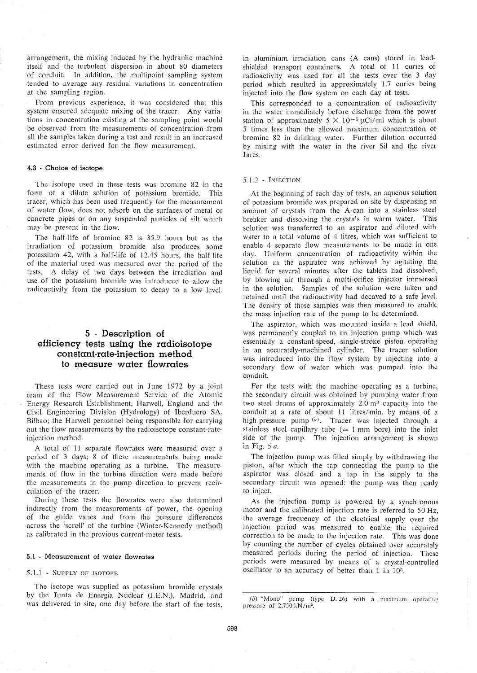arrangement, the mixing induced by the hydraulic machine itself and the turbulent dispersion in about 80 diameters of conduit. In addition, the multipoint sampling system tended to average any residual variations in concentration at the sampling region.

From previous experience, it was considered that this system ensured adequate mixing of the tracer. Any variations in concentration existing at the sampling point would be observed from the measurements of concentration from ail the samples taken during a test and result in an increased estimated error derived for the flow measurement.

#### 4.3 - Choice of isotope

The isotope used in these tests was bromine 82 in the form of a dilute solution of potassium bromide. This tracer, which has been used frequently for the measurcment of water flow, does not adsorb on the surfaces of metal or concrete pipes or on any suspended particles of silt which may be present in the flow.

The half-life of bromine 82 is 35.9 hours but as the irradiation of potassium bromide also produces some potassium 42, with a half-life of 12.45 hours, the half-life of the material used was measured over the period of the tests. A delay of two days between the irradiation and use of the potassium bromide was introduced to allow the radioactivity from the potassium to decay to a low level.

## 5 . **Description of efficiency tests using the radioisotope constant-rate-injection method to measure water flowrates**

These tests were carried out in June 1972 by a joint team of the Flow Measurement Service of the Atomic Energy Research Establishment, HarwelI, England and the Civil Engineering Division (Hydrology) of Iberduero *SA,* Bilbao; the Harwell personnel being responsible for carrying out the flow measurements by the radioisotope constant-rate· injection method.

A total of II separate flowrates were measured over a period of 3 days; 8 of these measurements being made with the machine operating as a turbine. The measurements of flow in the turbine direction were made before the measurements in the pump direction to prevent recirculation of the tracer.

During these tests the flowrates were also determined indirectly from the measurements of power, the opening of the guide vanes and from the pressure differences across the 'scrol!' of the turbine (Winter-Kennedy method) as calibrated in the previous current-meter tests.

#### 5.1 - Measurement of water flowrates

#### 5.1.1 - SUPPLY OF ISOTOPE

The isotope was supplied as potassium bromide crystals by the Junta de Energia Nuclear (J.E.N.), Madrid, and was delivered to site, one day before the start of the tests, in aluminium irradiation cans (A cans) stored in leadshielded transport containers. A total of II curies of radioactivity was used for aIl the tests over the 3 day period which resulted in approximately 1.7 curies being injected into the flow system on each day of tests.

This corresponded to a concentration of radioactivity in the water immediately before discharge from the power station of approximately  $5 \times 10^{-5} \mu$ Ci/ml which is about 5 times less than the allowed maximum concentration of bromine 82 in drinking water. Further dilution occurred by mixing with the water in the river Sil and the river Jares.

#### 5.1.2 - INJECTION

At the beginning of each day of tests, an aqueous solution of potassium bromide was prepared on site by dispensing an amount of crystals from the A-can into a stainless steel breaker and dissolving the crystals in warm water. This solution was transferred to an aspirator and diluted with water to a total volume of 4 litres, which was sufficient to enable 4 separate flow measurements to be made in one day. Uniform concentration of radioactivity within the solution in the aspirator was achieved by agitating the liquid for several minutes after the tablets had dissolved, by blowing air through a multi-orifice injector immersed in the solution. Samples of the solution were taken and retained until the radioactivity had decayed to a safe leve!. The density of these samples was then measured to enable the mass injection rate of the pump to be determined.

The aspirator, which was mounted inside a lead shield. was permanently coupled to an injection pump which was essentially a constant-speed, single-stroke piston operating in an accurately-machined cylinder. The tracer solution was introduced into the flow system by injecting into a secondary flow of water which was pumped into the conduit.

For the tests with the machine operating as a turbine, the secondary circuit was obtained by pumping water from two steel drums of approximately  $2.0 \text{ m}^3$  capacity into the conduit at a rate of about 11 litres/min. by means of a high-pressure pump  $(b)$ . Tracer was injected through a stainless steel capillary tube ( $\approx$  1 mm bore) into the inlet side of the pump. The injection arrangement is shown in Fig. 5 *a.*

The injection pump was filled simply by withdrawing the piston, after which the tap connecting the pump to the aspirator was closed and a tap in the supply to the secondary circuit was opened: the pump was then ready to inject.

As the injection pump is powered by a synchronous motor and the calibrated injection rate is referred to 50 Hz, the average frequency of the electrical supply over the injection period was measured to enable the required correction to be made to the injection rate. This was done by counting the number of cycles obtained over accurately measured periods during the period of injection. These periods were measured by means of a crystal-controlled oscillator to an accuracy of better than 1 in 10<sup>5</sup>.

<sup>(</sup>b) "Mono" pump (type D.26) with a maximum operating pressure of 2,750 kN/m".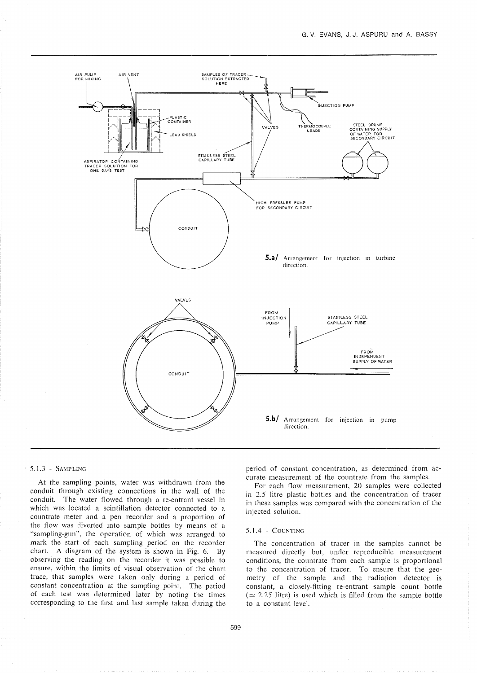

#### 5.1.3 - SAMPLING

At the sampling points, water was withdrawn from the conduit through existing connections in the wall of the conduit. The water flowed through a re-entrant vessel in which was located a scintillation detector connected to a countrate meter and a pen recorder and a proportion of the flow was diverted into sample bottles by means of a "sampling-gun", the operation of which was arranged to mark the start of each sampling period on the recorder chart. A diagram of the system is shown in Fig. 6. By observing the reading on the recorder it was possible to ensure, within the limits of visual observation of the chart trace, that samples were taken only during a period of constant concentration at the sampling point. The period of each test was determined later by noting the times corresponding to the first and last sample taken during the

period of constant concentration, as determined from accurate measurement of the countrate from the samples.

For each flow measurement, 20 samples were collected in 2.5 litre plastic bottles and the concentration of tracer in these samples was compared with the concentration of the injected solution.

#### 5. 1.4 - COUNTING

The concentration of tracer in the sampies cannot be measured directly but, under reproducible measurement conditions, the countrate from each sample is proportional to the concentration of tracer. To ensure that the geometry of the sample and the radiation detector is constant, a closely-fitting re-entrant sample count bottle  $(\simeq 2.25$  litre) is used which is filled from the sample bottle to a constant leveI.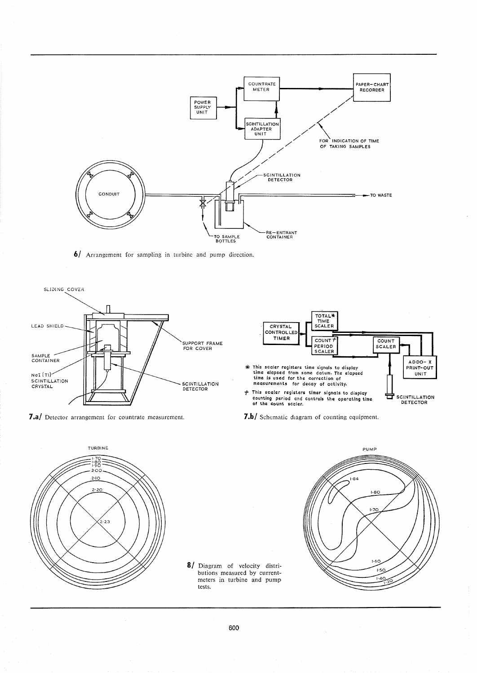

6/ Arrangement for sampling in turbine and pump direction.



7.a/ Detector arrangement for countrate measurement.





8/ Diagram of velocity distributions measured by currentmeters in turbine and pump tests.

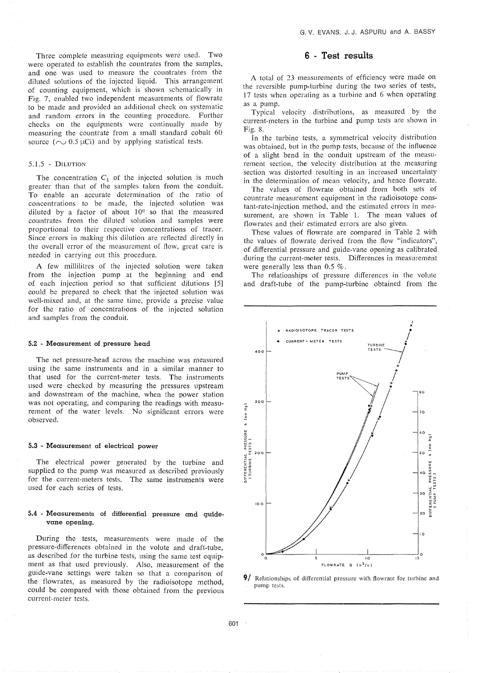Three complete measuring equipments were used. Two were operated to establish the countrates from the samples, and one was used to measure the countrates from the diluted solutions of the injected liquid. This arrangement of counting equipment, which is shown schematically in Fig. 7, enabled two independent measurements of flowrate to be made and provided an additional check on systematic and random errors in the counting procedure. Further checks on the equipments were continually made by measuring the countrate from a small standard cobalt 60 source  $(\sim 0.5 \,\mu\text{C})$  and by applying statistical tests.

#### 5.1.5 - DILUTION

The concentration  $C_1$  of the injected solution is much greater than that of the samples taken from the conduit. To enable an accurate determination of the ratio of concentrations to be made, the injected solution was diluted by a factor of about  $10<sup>6</sup>$  so that the measured countrates from the diluted solution and samples were proportional to their respective concentrations of tracer. Since errors in making this dilution are reflected directly in the overall error of the measurement of flow, great care is needed in carrying out this procedure.

A few millilitres of the injected solution were taken from the injection pump at the beginning and end of each injection period so that sufficient dilutions [5] could be prepared to check that the injected solution was well-mixed and, at the same time, provide a precise value for the ratio of concentrations of the injected solution and samples from the conduit.

#### 5.2 - Measurement of pressure head

The net pressure-head across the machine was measured using the same instruments and in a similar manner to that used for the current-meter tests. The instruments used were checked by measuring the pressures upstream and downstream of the machine, when the power station was not operating, and comparing the readings with measurement of the water levels. No significant errors were observed.

#### 5.3 - Measurement of electrical power

The electrical power generated by the turbine and supplied to the pump was measured as described previously for the current-meters tests. The same instruments were used for each series of tests.

#### 5.4 - Measurements of differential pressure and guidevane opening.

During the tests, measurements were made of the pressure-differences obtained in the volute and draft-tube, as described for the turbine tests, using the same test equipment as that used previously. Also, measurement of the guide-vane settings were taken so that a comparison of the flowrates, as measured by the radioisotope method, could be compared with those obtained from the previous current-meter tests.

### 6 - **Test results**

A total of 23 measurements of efficiency were made on the reversible pump-turbine during the two series of tests, 17 tests when operating as a turbine and 6 when operating as a pump.

Typical velocity distributions, as measured by the current-meters in the turbine and pump tests are shown in Fig.8.

In the turbine tests, a symmetrical velocity distribution was obtained, but in the pump tests, because of the influence of a slight bend in the conduit upstream of the measurement section. the velocity distribution at the measuring section was distorted resulting in an increased uncertainty in the determination of mean velocity, and hence flowrate.

The values of flowrate obtained from both sets of countrate measurement equipment in the radioisotope constant-rate-injection method, and the estimated errors in measurement, are shown in Table 1. The mean values of flowrates and their estimated errors are also given.

These values of flowrate are compared in Table 2 with the values of flowrate derived from the flow "indicators", of differential pressure and guide-vane opening as calibrated during the current-meter tests. Differences in measurement were generally less than  $0.5\%$ .

The relationships of pressure differences in the volute and draft-tube of the pump-turbine obtained from the



 $9/$  Relationships of differential pressure with flowrate for turbine and pump tests.

601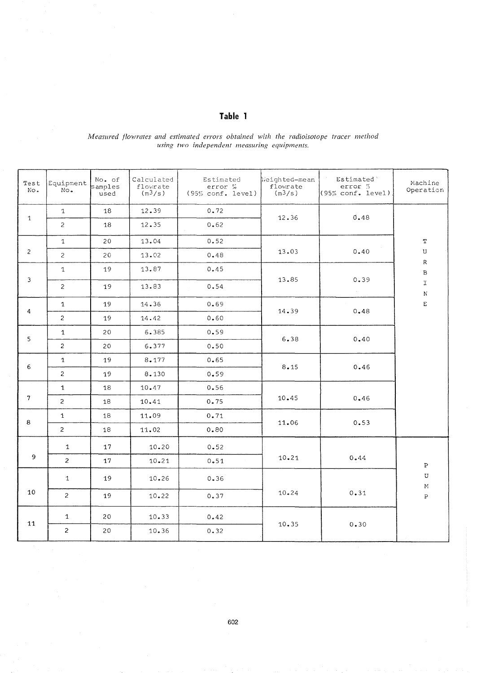|                                             |  |  | Measured flowrates and estimated errors obtained with the radioisotope tracer method |
|---------------------------------------------|--|--|--------------------------------------------------------------------------------------|
| using two independent measuring equipments. |  |  |                                                                                      |
|                                             |  |  |                                                                                      |

Table 1

| Test<br>No.    | Equipment<br>No. | No. of<br>samples<br>used | Calculated<br>flowrate<br>(m <sup>3</sup> /s) | Estimated<br>error %<br>(95% conf. level) | Weighted-mean<br>flowrate<br>(m <sup>3</sup> /s) | <b>Estimated</b><br>error %<br>(95% conf. level) | Machine<br>Operation          |
|----------------|------------------|---------------------------|-----------------------------------------------|-------------------------------------------|--------------------------------------------------|--------------------------------------------------|-------------------------------|
| $\mathbf{1}$   | $\mathbf{1}$     | 18                        | 12.39                                         | 0.72                                      | 12.36                                            | 0.48                                             |                               |
|                | $\overline{c}$   | 18                        | 12.35                                         | 0.62                                      |                                                  |                                                  |                               |
|                | $\mathbf{1}$     | 20                        | 13.04                                         | 0.52                                      |                                                  |                                                  | T                             |
| $\overline{c}$ | $\overline{c}$   | $20$                      | 13.02                                         | $0\centerdot 48$                          | 13.03                                            | 0.40                                             | $\bf U$                       |
|                | $\mathbf 1$      | 19                        | 13.87                                         | 0.45                                      |                                                  |                                                  | ${\mathbf R}$<br>$\, {\bf B}$ |
| 3              | $\overline{c}$   | 19                        | 13.83                                         | 0.54                                      | 13.85                                            | 0.39<br>$\sim$                                   | $\mathbf T$<br>${\bf N}$      |
|                | $\mathbf{1}$     | 19                        | 14.36                                         | 0.69                                      |                                                  |                                                  | $\mathbf E$                   |
| 4              | $\overline{2}$   | 19                        | 14.42                                         | 0.60                                      | 14.39                                            | 0.48                                             |                               |
| 5              | $\mathbf{1}$     | 20                        | 6.385                                         | 0.59                                      |                                                  | 0.40                                             |                               |
|                | $\overline{2}$   | 20                        | 6.377                                         | 0.50                                      | 6.38                                             |                                                  |                               |
| 6              | $\mathbf{1}$     | 19                        | 8.177                                         | 0.65                                      | 8.15                                             | 0.46                                             |                               |
|                | $\overline{2}$   | 19                        | 8.130                                         | 0.59                                      |                                                  |                                                  |                               |
|                | $\mathbf{1}$     | 18                        | 10.47                                         | 0.56                                      |                                                  |                                                  |                               |
| $7\phantom{.}$ | $\overline{2}$   | 18                        | 10.41                                         | 0.75                                      | 10.45                                            | 0.46                                             |                               |
| 8              | $\mathbf{1}$     | 18                        | 11.09                                         | 0.71                                      | 11.06                                            | 0.53                                             |                               |
|                | $\overline{2}$   | 18                        | 11.02                                         | 0.80                                      |                                                  |                                                  |                               |
|                | $\mathbf{1}$     | 17                        | 10.20                                         | 0.52                                      |                                                  |                                                  |                               |
| 9              | $\overline{a}$   | 17                        | 10.21                                         | 0.51                                      | 10.21                                            | 0.44                                             | $\, {\bf p}$                  |
|                | $\mathbf{1}$     | 19                        | 10.26                                         | 0.36                                      |                                                  |                                                  | U<br>M                        |
| 10             | $\overline{2}$   | 19                        | 10.22                                         | 0.37                                      | 10.24                                            | 0.31                                             | $\overline{P}$                |
| 11             | $\mathbf{1}$     | 20                        | 10.33                                         | 0.42                                      | 10.35                                            | 0.30                                             |                               |
|                | $\overline{a}$   | 20                        | 10.36                                         | 0.32                                      |                                                  |                                                  |                               |

## 602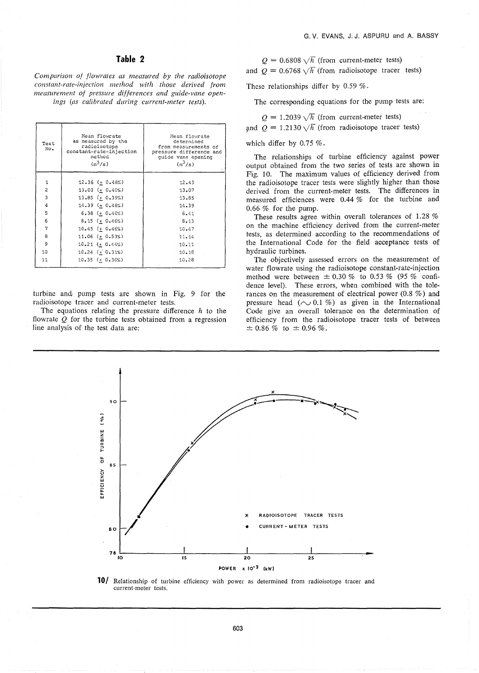## Table 2

Comparison of flowrates as measured by the radioisotope constant-rate-injection method with those derived from measurement of pressure differences and guide-vane openings (as calibrated during current-meter tests).

| Test<br>No.    | Mean flowrate<br>as measured by the<br>radioisotope<br>constant-rate-injection<br>method<br>$(m^3/s)$ | Mean flowrate<br>determined<br>from measurements of<br>pressure difference and<br>quide vane opening<br>$(m^3/s)$ |
|----------------|-------------------------------------------------------------------------------------------------------|-------------------------------------------------------------------------------------------------------------------|
| 1              | 12.36 ( $\pm$ 0.48%)                                                                                  | 12.43                                                                                                             |
| $\overline{2}$ | $13.03 (+ 0.40%)$                                                                                     | 13.07                                                                                                             |
| 3              | $13.85 (+ 0.39%)$                                                                                     | 13.85                                                                                                             |
| $\overline{4}$ | 14.39 (+ 0.48%)                                                                                       | 14.39                                                                                                             |
| 5              | $6.38$ (+ $0.40%$ )                                                                                   | 6.41                                                                                                              |
| 6              | $8.15 (+ 0.46\%)$                                                                                     | 8.13                                                                                                              |
| 7              | $10.45$ ( $+$ 0.46%)                                                                                  | 10.47                                                                                                             |
| 8              | 11.06 ( $\pm$ 0.53%)                                                                                  | 11.14                                                                                                             |
| 9              | $10.21$ (+ $0.44%$ )                                                                                  | 10.11                                                                                                             |
| 10             | $10.24$ (+ $0.31\%)$                                                                                  | 10.18                                                                                                             |
| 11             | $10.35 (+ 0.30\%)$                                                                                    | 10.28                                                                                                             |

turbine and pump tests are shown in Fig. 9 for the radioisotope tracer and current-meter tests.

The equations relating the pressure difference  $h$  to the flowrate  $Q$  for the turbine tests obtained from a regression line analysis of the test data are:

 $Q = 0.6808 \sqrt{h}$  (from current-meter tests) and  $Q = 0.6768 \sqrt{h}$  (from radioisotope tracer tests)

These relationships differ by  $0.59\%$ .

The corresponding equations for the pump tests are:

$$
Q = 1.2039 \sqrt{h}
$$
 (from current-meter tests)

and  $Q = 1.2130 \sqrt{h}$  (from radioisotope tracer tests)

which differ by  $0.75\%$ .

The relationships of turbine efficiency against power output obtained from the two series of tests are shown in Fig. 10. The maximum values of efficiency derived from the radioisotope tracer tests were slightly higher than those derived from the current-meter tests. The differences in measured efficiences were 0.44 % for the turbine and  $0.66\%$  for the pump.

These results agree within overall tolerances of 1.28 % on the machine efficiency derived from the current-meter tests, as determined according to the recommendations of the International Code for the field acceptance tests of hydraulic turbines.

The objectively assessed errors on the measurement of water flowrate using the radioisotope constant-rate-injection method were between  $\pm$  0.30 % to 0.53 % (95 % confidence level). These errors, when combined with the tolerances on the measurement of electrical power  $(0.8\%)$  and pressure head ( $\sim$  0.1 %) as given in the International Code give an overall tolerance on the determination of efficiency from the radioisotope tracer tests of between  $\pm$  0.86 % to  $\pm$  0.96 %.



10/ Relationship of turbine efficiency with power as determined from radioisotope tracer and current-meter tests.